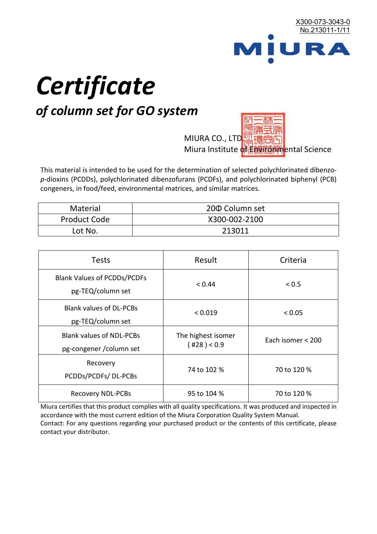

# *Certificate*

# *of column set for GO system*

MIURA CO., LTD. Miura Institute of 正版而解ental Science

This material is intended to be used for the determination of selected polychlorinated dibenzo*p*-dioxins (PCDDs), polychlorinated dibenzofurans (PCDFs), and polychlorinated biphenyl (PCB) congeners, in food/feed, environmental matrices, and similar matrices.

| <b>Material</b>     | 200 Column set |  |
|---------------------|----------------|--|
| <b>Product Code</b> | X300-002-2100  |  |
| Lot No.             | 213011         |  |

| <b>Tests</b>                                                | Result                            | Criteria          |
|-------------------------------------------------------------|-----------------------------------|-------------------|
| <b>Blank Values of PCDDs/PCDFs</b><br>pg-TEQ/column set     | < 0.44                            | < 0.5             |
| <b>Blank values of DL-PCBs</b><br>pg-TEQ/column set         | < 0.019                           | < 0.05            |
| <b>Blank values of NDL-PCBs</b><br>pg-congener / column set | The highest isomer<br>(428) < 0.9 | Each isomer < 200 |
| Recovery<br>PCDDs/PCDFs/DL-PCBs                             | 74 to 102 %                       | 70 to 120 %       |
| <b>Recovery NDL-PCBs</b>                                    | 95 to 104 %                       | 70 to 120 %       |

Miura certifies that this product complies with all quality specifications. It was produced and inspected in accordance with the most current edition of the Miura Corporation Quality System Manual. Contact: For any questions regarding your purchased product or the contents of this certificate, please contact your distributor.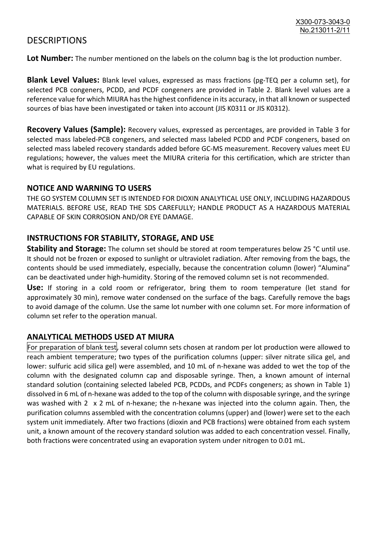## **DESCRIPTIONS**

**Lot Number:** The number mentioned on the labels on the column bag is the lot production number.

**Blank Level Values:** Blank level values, expressed as mass fractions (pg-TEQ per a column set), for selected PCB congeners, PCDD, and PCDF congeners are provided in Table 2. Blank level values are a reference value for which MIURA has the highest confidence in its accuracy, in that all known or suspected sources of bias have been investigated or taken into account (JIS K0311 or JIS K0312).

**Recovery Values (Sample):** Recovery values, expressed as percentages, are provided in Table 3 for selected mass labeled-PCB congeners, and selected mass labeled PCDD and PCDF congeners, based on selected mass labeled recovery standards added before GC-MS measurement. Recovery values meet EU regulations; however, the values meet the MIURA criteria for this certification, which are stricter than what is required by EU regulations.

#### **NOTICE AND WARNING TO USERS**

THE GO SYSTEM COLUMN SET IS INTENDED FOR DIOXIN ANALYTICAL USE ONLY, INCLUDING HAZARDOUS MATERIALS. BEFORE USE, READ THE SDS CAREFULLY; HANDLE PRODUCT AS A HAZARDOUS MATERIAL CAPABLE OF SKIN CORROSION AND/OR EYE DAMAGE.

#### **INSTRUCTIONS FOR STABILITY, STORAGE, AND USE**

**Stability and Storage:** The column set should be stored at room temperatures below 25 °C until use. It should not be frozen or exposed to sunlight or ultraviolet radiation. After removing from the bags, the contents should be used immediately, especially, because the concentration column (lower) "Alumina" can be deactivated under high-humidity. Storing of the removed column set is not recommended.

**Use:** If storing in a cold room or refrigerator, bring them to room temperature (let stand for approximately 30 min), remove water condensed on the surface of the bags. Carefully remove the bags to avoid damage of the column. Use the same lot number with one column set. For more information of column set refer to the operation manual.

### **ANALYTICAL METHODS USED AT MIURA**

For preparation of blank test, several column sets chosen at random per lot production were allowed to reach ambient temperature; two types of the purification columns (upper: silver nitrate silica gel, and lower: sulfuric acid silica gel) were assembled, and 10 mL of n-hexane was added to wet the top of the column with the designated column cap and disposable syringe. Then, a known amount of internal standard solution (containing selected labeled PCB, PCDDs, and PCDFs congeners; as shown in Table 1) dissolved in 6 mL of n-hexane was added to the top of the column with disposable syringe, and the syringe was washed with 2 x 2 mL of n-hexane; the n-hexane was injected into the column again. Then, the purification columns assembled with the concentration columns (upper) and (lower) were set to the each system unit immediately. After two fractions (dioxin and PCB fractions) were obtained from each system unit, a known amount of the recovery standard solution was added to each concentration vessel. Finally, both fractions were concentrated using an evaporation system under nitrogen to 0.01 mL.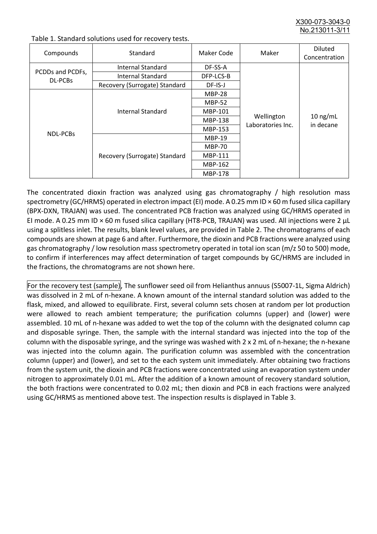X300-073-3043-0 No.213011-3/11

| Compounds                          | Standard                      | Maker Code     | Maker                           | <b>Diluted</b><br>Concentration |
|------------------------------------|-------------------------------|----------------|---------------------------------|---------------------------------|
| PCDDs and PCDFs,<br><b>DL-PCBs</b> | Internal Standard             | DF-SS-A        |                                 |                                 |
|                                    | <b>Internal Standard</b>      | DFP-LCS-B      |                                 |                                 |
|                                    | Recovery (Surrogate) Standard | DF-IS-J        | Wellington<br>Laboratories Inc. | $10$ ng/mL<br>in decane         |
| <b>NDL-PCBs</b>                    | Internal Standard             | <b>MBP-28</b>  |                                 |                                 |
|                                    |                               | <b>MBP-52</b>  |                                 |                                 |
|                                    |                               | MBP-101        |                                 |                                 |
|                                    |                               | <b>MBP-138</b> |                                 |                                 |
|                                    |                               | MBP-153        |                                 |                                 |
|                                    | Recovery (Surrogate) Standard | <b>MBP-19</b>  |                                 |                                 |
|                                    |                               | <b>MBP-70</b>  |                                 |                                 |
|                                    |                               | MBP-111        |                                 |                                 |
|                                    |                               | MBP-162        |                                 |                                 |
|                                    |                               | <b>MBP-178</b> |                                 |                                 |

Table 1. Standard solutions used for recovery tests.

The concentrated dioxin fraction was analyzed using gas chromatography / high resolution mass spectrometry (GC/HRMS) operated in electron impact (EI) mode. A 0.25 mm ID × 60 m fused silica capillary (BPX-DXN, TRAJAN) was used. The concentrated PCB fraction was analyzed using GC/HRMS operated in EI mode. A 0.25 mm ID × 60 m fused silica capillary (HT8-PCB, TRAJAN) was used. All injections were 2 μL using a splitless inlet. The results, blank level values, are provided in Table 2. The chromatograms of each compounds are shown at page 6 and after. Furthermore, the dioxin and PCB fractions were analyzed using gas chromatography / low resolution mass spectrometry operated in total ion scan (m/z 50 to 500) mode, to confirm if interferences may affect determination of target compounds by GC/HRMS are included in the fractions, the chromatograms are not shown here.

For the recovery test (sample), The sunflower seed oil from Helianthus annuus (S5007-1L, Sigma Aldrich) was dissolved in 2 mL of n-hexane. A known amount of the internal standard solution was added to the flask, mixed, and allowed to equilibrate. First, several column sets chosen at random per lot production were allowed to reach ambient temperature; the purification columns (upper) and (lower) were assembled. 10 mL of n-hexane was added to wet the top of the column with the designated column cap and disposable syringe. Then, the sample with the internal standard was injected into the top of the column with the disposable syringe, and the syringe was washed with 2 x 2 mL of n-hexane; the n-hexane was injected into the column again. The purification column was assembled with the concentration column (upper) and (lower), and set to the each system unit immediately. After obtaining two fractions from the system unit, the dioxin and PCB fractions were concentrated using an evaporation system under nitrogen to approximately 0.01 mL. After the addition of a known amount of recovery standard solution, the both fractions were concentrated to 0.02 mL; then dioxin and PCB in each fractions were analyzed using GC/HRMS as mentioned above test. The inspection results is displayed in Table 3.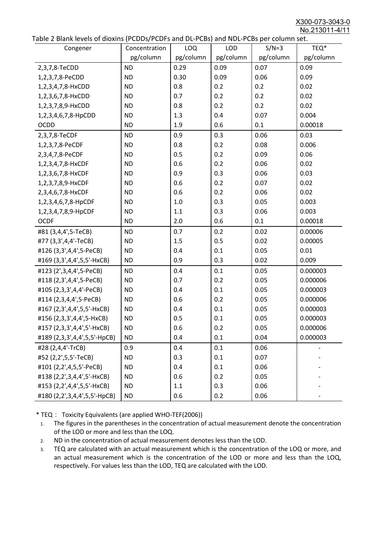X300-073-3043-0 No.213011-4/11

|  | Table 2 Blank levels of dioxins (PCDDs/PCDFs and DL-PCBs) and NDL-PCBs per column set. |
|--|----------------------------------------------------------------------------------------|
|--|----------------------------------------------------------------------------------------|

| abic 2 Diarik icveis of dioxins (I CDD3/TCDTs and DET CD3/ and NDET CD3 pcr column sett.<br>Congener | Concentration | <b>LOQ</b> | <b>LOD</b> | $S/N=3$   | TEQ*      |
|------------------------------------------------------------------------------------------------------|---------------|------------|------------|-----------|-----------|
|                                                                                                      | pg/column     | pg/column  | pg/column  | pg/column | pg/column |
| 2,3,7,8-TeCDD                                                                                        | <b>ND</b>     | 0.29       | 0.09       | 0.07      | 0.09      |
| 1,2,3,7,8-PeCDD                                                                                      | <b>ND</b>     | 0.30       | 0.09       | 0.06      | 0.09      |
| 1,2,3,4,7,8-HxCDD                                                                                    | <b>ND</b>     | 0.8        | 0.2        | 0.2       | 0.02      |
| 1,2,3,6,7,8-HxCDD                                                                                    | <b>ND</b>     | 0.7        | 0.2        | 0.2       | 0.02      |
| 1,2,3,7,8,9-HxCDD                                                                                    | <b>ND</b>     | 0.8        | 0.2        | 0.2       | 0.02      |
| 1,2,3,4,6,7,8-HpCDD                                                                                  | <b>ND</b>     | 1.3        | 0.4        | 0.07      | 0.004     |
| <b>OCDD</b>                                                                                          | <b>ND</b>     | 1.9        | 0.6        | 0.1       | 0.00018   |
| 2,3,7,8-TeCDF                                                                                        | <b>ND</b>     | 0.9        | 0.3        | 0.06      | 0.03      |
| 1,2,3,7,8-PeCDF                                                                                      | <b>ND</b>     | 0.8        | 0.2        | 0.08      | 0.006     |
| 2,3,4,7,8-PeCDF                                                                                      | <b>ND</b>     | 0.5        | 0.2        | 0.09      | 0.06      |
| 1,2,3,4,7,8-HxCDF                                                                                    | <b>ND</b>     | 0.6        | 0.2        | 0.06      | 0.02      |
| 1,2,3,6,7,8-HxCDF                                                                                    | <b>ND</b>     | 0.9        | 0.3        | 0.06      | 0.03      |
| 1,2,3,7,8,9-HxCDF                                                                                    | <b>ND</b>     | 0.6        | 0.2        | 0.07      | 0.02      |
| 2,3,4,6,7,8-HxCDF                                                                                    | <b>ND</b>     | 0.6        | 0.2        | 0.06      | 0.02      |
| 1,2,3,4,6,7,8-HpCDF                                                                                  | <b>ND</b>     | 1.0        | 0.3        | 0.05      | 0.003     |
| 1,2,3,4,7,8,9-HpCDF                                                                                  | <b>ND</b>     | 1.1        | 0.3        | 0.06      | 0.003     |
| <b>OCDF</b>                                                                                          | <b>ND</b>     | 2.0        | 0.6        | 0.1       | 0.00018   |
| #81 (3,4,4',5-TeCB)                                                                                  | <b>ND</b>     | 0.7        | 0.2        | 0.02      | 0.00006   |
| #77 (3,3',4,4'-TeCB)                                                                                 | <b>ND</b>     | 1.5        | 0.5        | 0.02      | 0.00005   |
| #126 (3,3',4,4',5-PeCB)                                                                              | <b>ND</b>     | 0.4        | 0.1        | 0.05      | 0.01      |
| #169 (3,3',4,4',5,5'-HxCB)                                                                           | <b>ND</b>     | 0.9        | 0.3        | 0.02      | 0.009     |
| #123 (2',3,4,4',5-PeCB)                                                                              | <b>ND</b>     | 0.4        | 0.1        | 0.05      | 0.000003  |
| #118 (2,3',4,4',5-PeCB)                                                                              | <b>ND</b>     | 0.7        | 0.2        | 0.05      | 0.000006  |
| #105 (2,3,3',4,4'-PeCB)                                                                              | <b>ND</b>     | 0.4        | 0.1        | 0.05      | 0.000003  |
| #114 (2,3,4,4',5-PeCB)                                                                               | <b>ND</b>     | 0.6        | 0.2        | 0.05      | 0.000006  |
| #167 (2,3',4,4',5,5'-HxCB)                                                                           | <b>ND</b>     | 0.4        | 0.1        | 0.05      | 0.000003  |
| #156 (2,3,3',4,4',5-HxCB)                                                                            | <b>ND</b>     | 0.5        | 0.1        | 0.05      | 0.000003  |
| #157 (2,3,3',4,4',5'-HxCB)                                                                           | <b>ND</b>     | 0.6        | 0.2        | 0.05      | 0.000006  |
| #189 (2,3,3',4,4',5,5'-HpCB)                                                                         | <b>ND</b>     | 0.4        | 0.1        | 0.04      | 0.000003  |
| #28 (2,4,4'-TrCB)                                                                                    | 0.9           | 0.4        | 0.1        | 0.06      |           |
| #52 (2,2',5,5'-TeCB)                                                                                 | <b>ND</b>     | 0.3        | 0.1        | 0.07      |           |
| #101 (2,2',4,5,5'-PeCB)                                                                              | <b>ND</b>     | 0.4        | 0.1        | 0.06      |           |
| #138 (2,2',3,4,4',5'-HxCB)                                                                           | <b>ND</b>     | 0.6        | 0.2        | 0.05      |           |
| #153 (2,2',4,4',5,5'-HxCB)                                                                           | <b>ND</b>     | 1.1        | 0.3        | 0.06      |           |
| #180 (2,2',3,4,4',5,5'-HpCB)                                                                         | <b>ND</b>     | 0.6        | 0.2        | 0.06      |           |

\* TEQ: Toxicity Equivalents (are applied WHO-TEF(2006))

- 1. The figures in the parentheses in the concentration of actual measurement denote the concentration of the LOD or more and less than the LOQ.
- 2. ND in the concentration of actual measurement denotes less than the LOD.
- 3. TEQ are calculated with an actual measurement which is the concentration of the LOQ or more, and an actual measurement which is the concentration of the LOD or more and less than the LOQ, respectively. For values less than the LOD, TEQ are calculated with the LOD.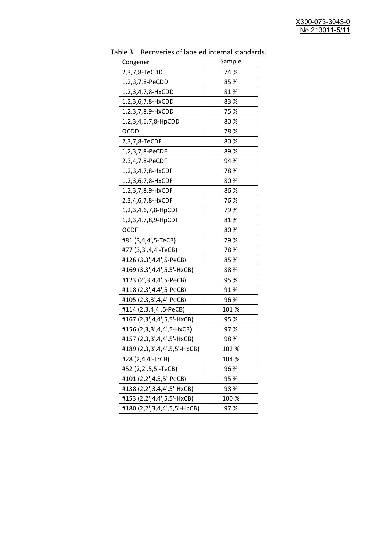| יכ אומג<br><b>INCLOSUTION</b> OF REPORT THE THEIR STRINGER<br>Congener | Sample |
|------------------------------------------------------------------------|--------|
| 2,3,7,8-TeCDD                                                          | 74 %   |
| 1,2,3,7,8-PeCDD                                                        | 85 %   |
| 1,2,3,4,7,8-HxCDD                                                      | 81%    |
| 1,2,3,6,7,8-HxCDD                                                      | 83%    |
| 1,2,3,7,8,9-HxCDD                                                      | 75 %   |
| 1,2,3,4,6,7,8-HpCDD                                                    | 80%    |
| <b>OCDD</b>                                                            | 78%    |
| 2,3,7,8-TeCDF                                                          | 80%    |
| 1,2,3,7,8-PeCDF                                                        | 89%    |
| 2,3,4,7,8-PeCDF                                                        | 94 %   |
| 1,2,3,4,7,8-HxCDF                                                      | 78%    |
| 1,2,3,6,7,8-HxCDF                                                      | 80%    |
| 1,2,3,7,8,9-HxCDF                                                      | 86 %   |
| 2,3,4,6,7,8-HxCDF                                                      | 76 %   |
| 1,2,3,4,6,7,8-HpCDF                                                    | 79 %   |
| 1,2,3,4,7,8,9-HpCDF                                                    | 81%    |
| <b>OCDF</b>                                                            | 80%    |
| #81 (3,4,4',5-TeCB)                                                    | 79%    |
| #77 (3,3',4,4'-TeCB)                                                   | 78%    |
| #126 (3,3',4,4',5-PeCB)                                                | 85 %   |
| #169 (3,3',4,4',5,5'-HxCB)                                             | 88%    |
| #123 (2', 3, 4, 4', 5-PeCB)                                            | 95 %   |
| #118 (2,3',4,4',5-PeCB)                                                | 91%    |
| #105 (2,3,3',4,4'-PeCB)                                                | 96 %   |
| #114 (2,3,4,4',5-PeCB)                                                 | 101 %  |
| #167 (2,3',4,4',5,5'-HxCB)                                             | 95 %   |
| #156 (2,3,3',4,4',5-HxCB)                                              | 97%    |
| #157 (2,3,3',4,4',5'-HxCB)                                             | 98%    |
| #189 (2,3,3',4,4',5,5'-HpCB)                                           | 102 %  |
| #28 (2,4,4'-TrCB)                                                      | 104 %  |
| #52 (2,2',5,5'-TeCB)                                                   | 96 %   |
| #101 (2,2',4,5,5'-PeCB)                                                | 95 %   |
| #138 (2,2',3,4,4',5'-HxCB)                                             | 98%    |
| #153 (2,2',4,4',5,5'-HxCB)                                             | 100 %  |
| #180 (2,2',3,4,4',5,5'-HpCB)                                           | 97%    |

Table 3. Recoveries of labeled internal standards.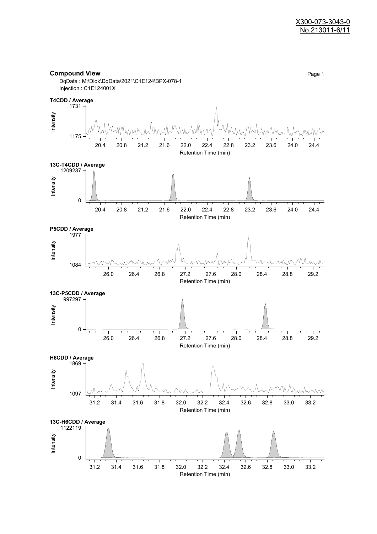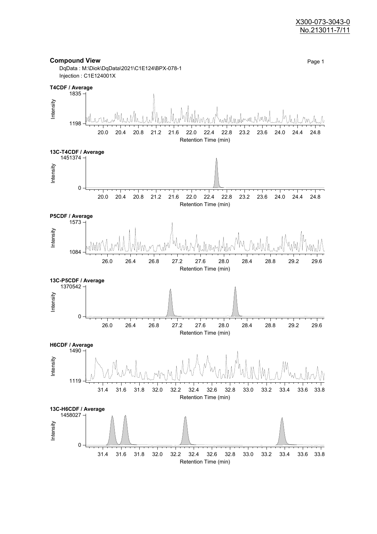#### X300-073-3043-0 No.213011-7/11

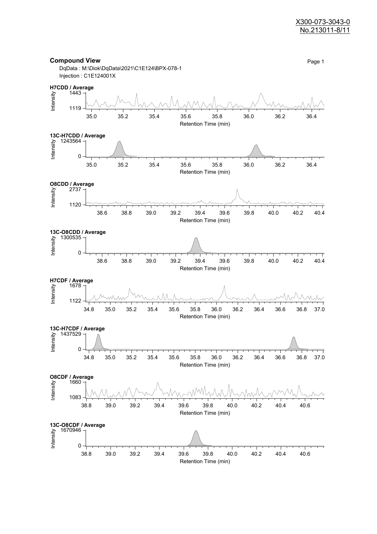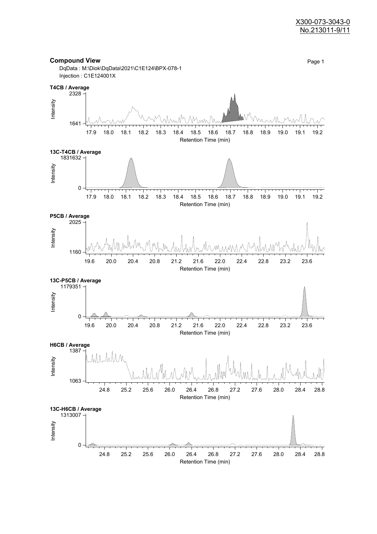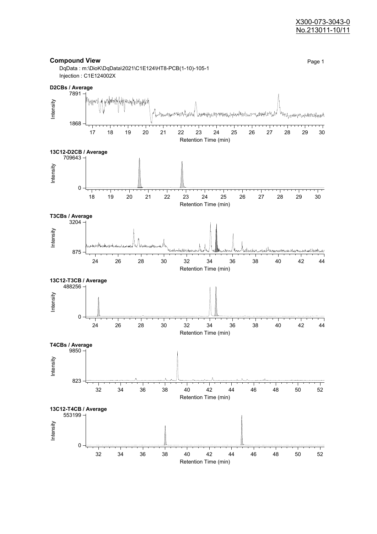